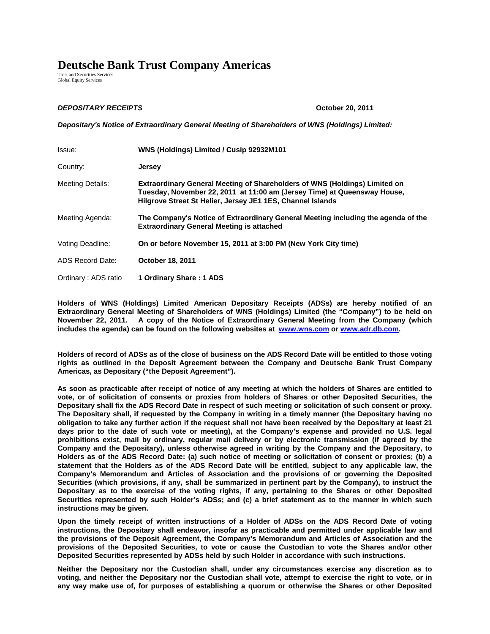## **Deutsche Bank Trust Company Americas**

Trust and Securities Services Global Equity Services

## *DEPOSITARY RECEIPTS* **October 20, 2011**

*Depositary's Notice of Extraordinary General Meeting of Shareholders of WNS (Holdings) Limited:*

| Issue:                  | WNS (Holdings) Limited / Cusip 92932M101                                                                                                                                                                                    |
|-------------------------|-----------------------------------------------------------------------------------------------------------------------------------------------------------------------------------------------------------------------------|
| Country:                | <b>Jersey</b>                                                                                                                                                                                                               |
| <b>Meeting Details:</b> | <b>Extraordinary General Meeting of Shareholders of WNS (Holdings) Limited on</b><br>Tuesday, November 22, 2011 at 11:00 am (Jersey Time) at Queensway House,<br>Hilgrove Street St Helier, Jersey JE1 1ES, Channel Islands |
| Meeting Agenda:         | The Company's Notice of Extraordinary General Meeting including the agenda of the<br><b>Extraordinary General Meeting is attached</b>                                                                                       |
| Voting Deadline:        | On or before November 15, 2011 at 3:00 PM (New York City time)                                                                                                                                                              |
| ADS Record Date:        | <b>October 18, 2011</b>                                                                                                                                                                                                     |
| Ordinary: ADS ratio     | 1 Ordinary Share: 1 ADS                                                                                                                                                                                                     |

**Holders of WNS (Holdings) Limited American Depositary Receipts (ADSs) are hereby notified of an Extraordinary General Meeting of Shareholders of WNS (Holdings) Limited (the "Company") to be held on November 22, 2011. A copy of the Notice of Extraordinary General Meeting from the Company (which includes the agenda) can be found on the following websites at www.wns.com or www.adr.db.com.** 

**Holders of record of ADSs as of the close of business on the ADS Record Date will be entitled to those voting rights as outlined in the Deposit Agreement between the Company and Deutsche Bank Trust Company Americas, as Depositary ("the Deposit Agreement").** 

**As soon as practicable after receipt of notice of any meeting at which the holders of Shares are entitled to vote, or of solicitation of consents or proxies from holders of Shares or other Deposited Securities, the Depositary shall fix the ADS Record Date in respect of such meeting or solicitation of such consent or proxy. The Depositary shall, if requested by the Company in writing in a timely manner (the Depositary having no obligation to take any further action if the request shall not have been received by the Depositary at least 21 days prior to the date of such vote or meeting), at the Company's expense and provided no U.S. legal prohibitions exist, mail by ordinary, regular mail delivery or by electronic transmission (if agreed by the Company and the Depositary), unless otherwise agreed in writing by the Company and the Depositary, to Holders as of the ADS Record Date: (a) such notice of meeting or solicitation of consent or proxies; (b) a statement that the Holders as of the ADS Record Date will be entitled, subject to any applicable law, the Company's Memorandum and Articles of Association and the provisions of or governing the Deposited Securities (which provisions, if any, shall be summarized in pertinent part by the Company), to instruct the Depositary as to the exercise of the voting rights, if any, pertaining to the Shares or other Deposited Securities represented by such Holder's ADSs; and (c) a brief statement as to the manner in which such instructions may be given.** 

**Upon the timely receipt of written instructions of a Holder of ADSs on the ADS Record Date of voting instructions, the Depositary shall endeavor, insofar as practicable and permitted under applicable law and the provisions of the Deposit Agreement, the Company's Memorandum and Articles of Association and the provisions of the Deposited Securities, to vote or cause the Custodian to vote the Shares and/or other Deposited Securities represented by ADSs held by such Holder in accordance with such instructions.** 

**Neither the Depositary nor the Custodian shall, under any circumstances exercise any discretion as to voting, and neither the Depositary nor the Custodian shall vote, attempt to exercise the right to vote, or in any way make use of, for purposes of establishing a quorum or otherwise the Shares or other Deposited**